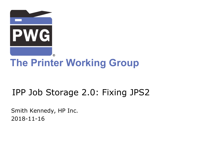

# **The Printer Working Group**

# IPP Job Storage 2.0: Fixing JPS2

Smith Kennedy, HP Inc. 2018-11-16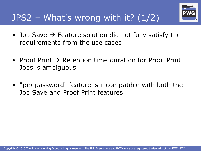

- Job Save  $\rightarrow$  Feature solution did not fully satisfy the requirements from the use cases
- Proof Print  $\rightarrow$  Retention time duration for Proof Print Jobs is ambiguous
- "job-password" feature is incompatible with both the Job Save and Proof Print features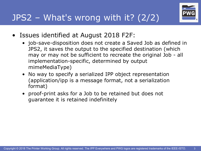

- Issues identified at August 2018 F2F:
	- job-save-disposition does not create a Saved Job as defined in JPS2, it saves the output to the specified destination (which may or may not be sufficient to recreate the original Job - all implementation-specific, determined by output mimeMediaType)
	- No way to specify a serialized IPP object representation (application/ipp is a message format, not a serialization format)
	- proof-print asks for a Job to be retained but does not guarantee it is retained indefinitely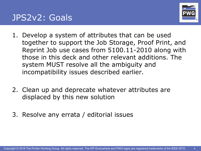



- 1. Develop a system of attributes that can be used together to support the Job Storage, Proof Print, and Reprint Job use cases from 5100.11-2010 along with those in this deck and other relevant additions. The system MUST resolve all the ambiguity and incompatibility issues described earlier.
- 2. Clean up and deprecate whatever attributes are displaced by this new solution
- 3. Resolve any errata / editorial issues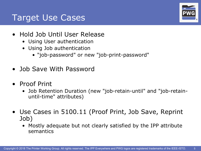#### Target Use Cases

- Hold Job Until User Release
	- Using User authentication
	- Using Job authentication
		- "job-password" or new "job-print-password"
- Job Save With Password
- Proof Print
	- Job Retention Duration (new "job-retain-until" and "job-retainuntil-time" attributes)
- Use Cases in 5100.11 (Proof Print, Job Save, Reprint Job)
	- Mostly adequate but not clearly satisfied by the IPP attribute semantics

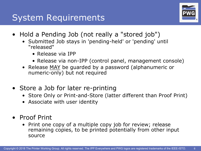

- Hold a Pending Job (not really a "stored job")
	- Submitted Job stays in 'pending-held' or 'pending' until "released"
		- Release via IPP
		- Release via non-IPP (control panel, management console)
	- Release MAY be guarded by a password (alphanumeric or numeric-only) but not required
- Store a Job for later re-printing
	- Store Only or Print-and-Store (latter different than Proof Print)
	- Associate with user identity
- Proof Print
	- Print one copy of a multiple copy job for review; release remaining copies, to be printed potentially from other input source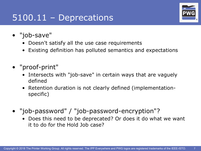### 5100.11 – Deprecations



- "job-save"
	- Doesn't satisfy all the use case requirements
	- Existing definition has polluted semantics and expectations
- "proof-print"
	- Intersects with "job-save" in certain ways that are vaguely defined
	- Retention duration is not clearly defined (implementationspecific)
- "job-password" / "job-password-encryption"?
	- Does this need to be deprecated? Or does it do what we want it to do for the Hold Job case?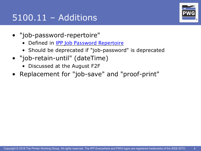# 5100.11 – Additions



- "job-password-repertoire"
	- Defined in **[IPP Job Password Repertoire](https://ftp.pwg.org/pub/pwg/ipp/whitepaper/wp-job-password-repertoire-20160101.pdf)**
	- Should be deprecated if "job-password" is deprecated
- "job-retain-until" (dateTime)
	- Discussed at the August F2F
- Replacement for "job-save" and "proof-print"